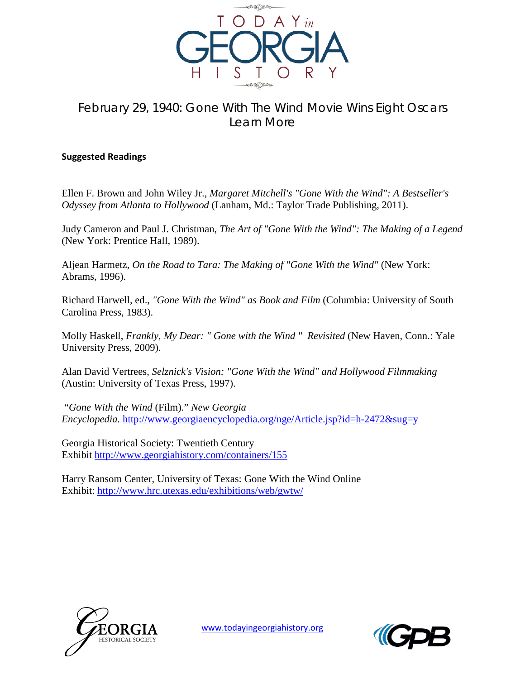

## February 29, 1940: Gone With The Wind Movie Wins Eight Oscars Learn More

## **Suggested Readings**

Ellen F. Brown and John Wiley Jr., *Margaret Mitchell's "Gone With the Wind": A Bestseller's Odyssey from Atlanta to Hollywood* (Lanham, Md.: Taylor Trade Publishing, 2011).

Judy Cameron and Paul J. Christman, *The Art of "Gone With the Wind": The Making of a Legend* (New York: Prentice Hall, 1989).

Aljean Harmetz, *On the Road to Tara: The Making of "Gone With the Wind"* (New York: Abrams, 1996).

Richard Harwell, ed., *"Gone With the Wind" as Book and Film* (Columbia: University of South Carolina Press, 1983).

Molly Haskell, *Frankly, My Dear: " Gone with the Wind " Revisited* (New Haven, Conn.: Yale University Press, 2009).

Alan David Vertrees, *Selznick's Vision: "Gone With the Wind" and Hollywood Filmmaking* (Austin: University of Texas Press, 1997).

"*Gone With the Wind* (Film)." *New Georgia Encyclopedia.* <http://www.georgiaencyclopedia.org/nge/Article.jsp?id=h-2472&sug=y>

Georgia Historical Society: Twentieth Century Exhibit<http://www.georgiahistory.com/containers/155>

Harry Ransom Center, University of Texas: Gone With the Wind Online Exhibit:<http://www.hrc.utexas.edu/exhibitions/web/gwtw/>



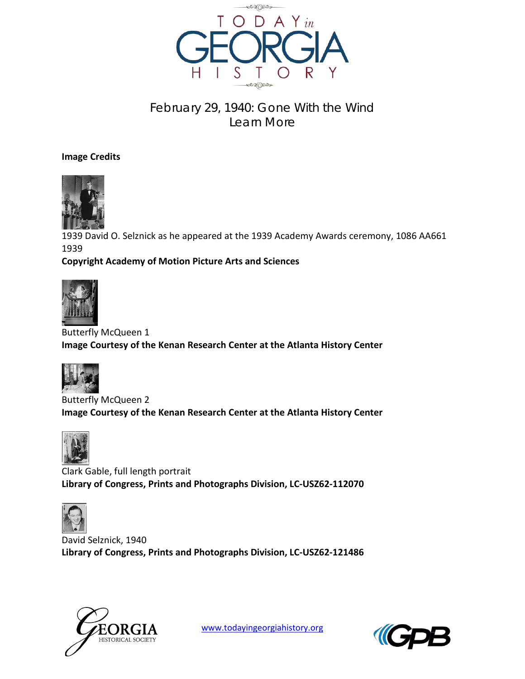

## February 29, 1940: Gone With the Wind Learn More

**Image Credits**



1939 David O. Selznick as he appeared at the 1939 Academy Awards ceremony, 1086 AA661 1939

## **Copyright Academy of Motion Picture Arts and Sciences**



Butterfly McQueen 1 **Image Courtesy of the Kenan Research Center at the Atlanta History Center**



Butterfly McQueen 2 **Image Courtesy of the Kenan Research Center at the Atlanta History Center**



Clark Gable, full length portrait **Library of Congress, Prints and Photographs Division, LC-USZ62-112070**



David Selznick, 1940 **Library of Congress, Prints and Photographs Division, LC-USZ62-121486**



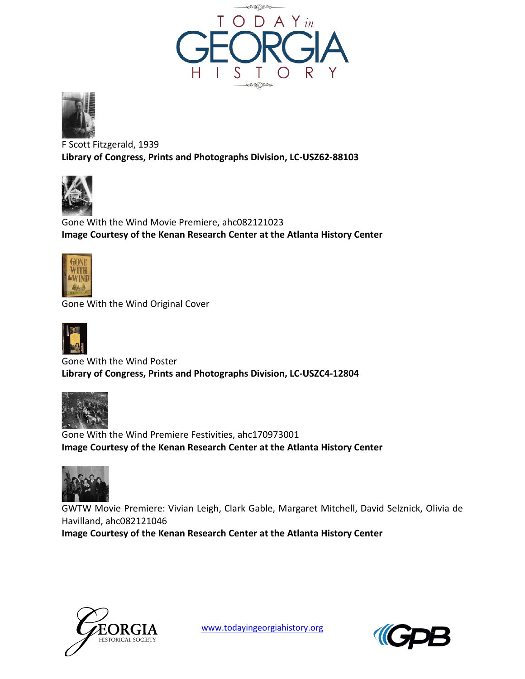



F Scott Fitzgerald, 1939 **Library of Congress, Prints and Photographs Division, LC-USZ62-88103**



Gone With the Wind Movie Premiere, ahc082121023 **Image Courtesy of the Kenan Research Center at the Atlanta History Center**



Gone With the Wind Original Cover



Gone With the Wind Poster **Library of Congress, Prints and Photographs Division, LC-USZC4-12804**



Gone With the Wind Premiere Festivities, ahc170973001 **Image Courtesy of the Kenan Research Center at the Atlanta History Center**



GWTW Movie Premiere: Vivian Leigh, Clark Gable, Margaret Mitchell, David Selznick, Olivia de Havilland, ahc082121046

**Image Courtesy of the Kenan Research Center at the Atlanta History Center**



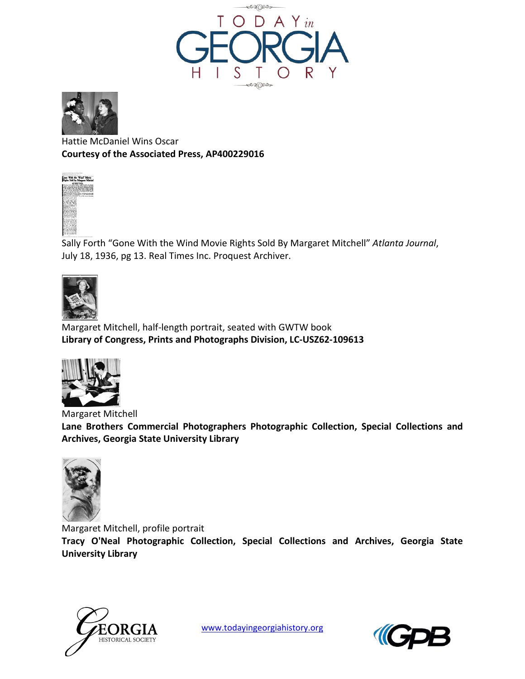



Hattie McDaniel Wins Oscar **Courtesy of the Associated Press, AP400229016**



Sally Forth "Gone With the Wind Movie Rights Sold By Margaret Mitchell" *Atlanta Journal*, July 18, 1936, pg 13. Real Times Inc. Proquest Archiver.



Margaret Mitchell, half-length portrait, seated with GWTW book **Library of Congress, Prints and Photographs Division, LC-USZ62-109613**



Margaret Mitchell **Lane Brothers Commercial Photographers Photographic Collection, Special Collections and Archives, Georgia State University Library**



Margaret Mitchell, profile portrait **Tracy O'Neal Photographic Collection, Special Collections and Archives, Georgia State University Library**